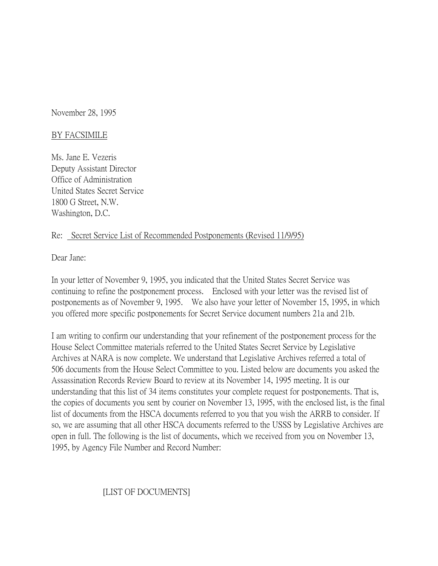November 28, 1995

## BY FACSIMILE

Ms. Jane E. Vezeris Deputy Assistant Director Office of Administration United States Secret Service 1800 G Street, N.W. Washington, D.C.

## Re: Secret Service List of Recommended Postponements (Revised 11/9/95)

Dear Jane:

In your letter of November 9, 1995, you indicated that the United States Secret Service was continuing to refine the postponement process. Enclosed with your letter was the revised list of postponements as of November 9, 1995. We also have your letter of November 15, 1995, in which you offered more specific postponements for Secret Service document numbers 21a and 21b.

I am writing to confirm our understanding that your refinement of the postponement process for the House Select Committee materials referred to the United States Secret Service by Legislative Archives at NARA is now complete. We understand that Legislative Archives referred a total of 506 documents from the House Select Committee to you. Listed below are documents you asked the Assassination Records Review Board to review at its November 14, 1995 meeting. It is our understanding that this list of 34 items constitutes your complete request for postponements. That is, the copies of documents you sent by courier on November 13, 1995, with the enclosed list, is the final list of documents from the HSCA documents referred to you that you wish the ARRB to consider. If so, we are assuming that all other HSCA documents referred to the USSS by Legislative Archives are open in full. The following is the list of documents, which we received from you on November 13, 1995, by Agency File Number and Record Number:

## [LIST OF DOCUMENTS]